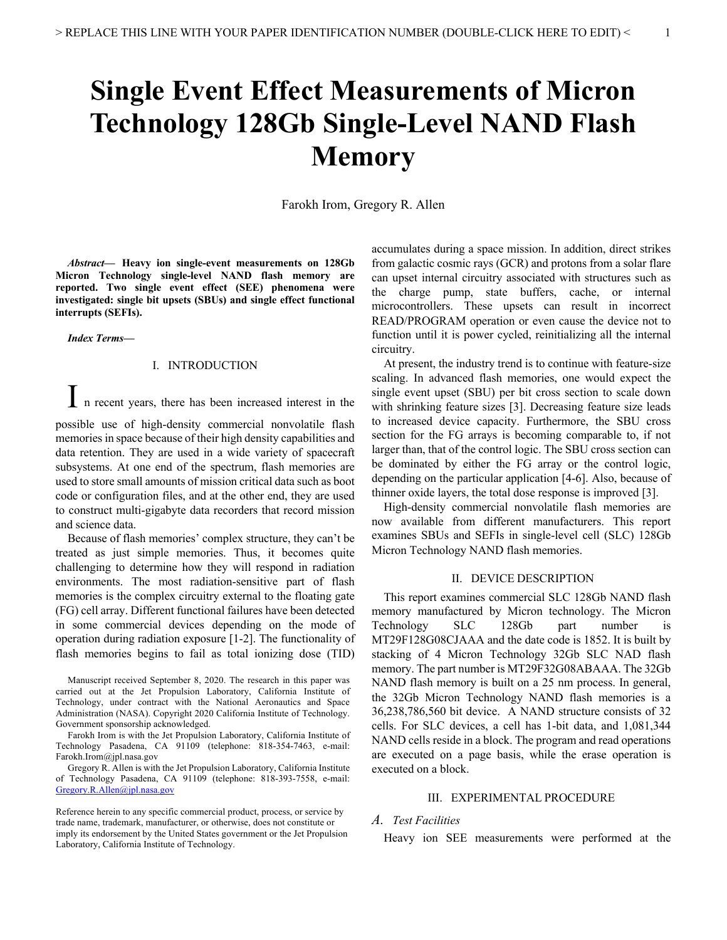# **Single Event Effect Measurements of Micron Technology 128Gb Single-Level NAND Flash Memory**

Farokh Irom, Gregory R. Allen

*Abstract***— Heavy ion single-event measurements on 128Gb Micron Technology single-level NAND flash memory are reported. Two single event effect (SEE) phenomena were investigated: single bit upsets (SBUs) and single effect functional interrupts (SEFIs).**

*Index Terms***—**

## I. INTRODUCTION

I n recent years, there has been increased interest in the

possible use of high-density commercial nonvolatile flash memories in space because of their high density capabilities and data retention. They are used in a wide variety of spacecraft subsystems. At one end of the spectrum, flash memories are used to store small amounts of mission critical data such as boot code or configuration files, and at the other end, they are used to construct multi-gigabyte data recorders that record mission and science data.

Because of flash memories' complex structure, they can't be treated as just simple memories. Thus, it becomes quite challenging to determine how they will respond in radiation environments. The most radiation-sensitive part of flash memories is the complex circuitry external to the floating gate (FG) cell array. Different functional failures have been detected in some commercial devices depending on the mode of operation during radiation exposure [1-2]. The functionality of flash memories begins to fail as total ionizing dose (TID) accumulates during a space mission. In addition, direct strikes from galactic cosmic rays (GCR) and protons from a solar flare can upset internal circuitry associated with structures such as the charge pump, state buffers, cache, or internal microcontrollers. These upsets can result in incorrect READ/PROGRAM operation or even cause the device not to function until it is power cycled, reinitializing all the internal circuitry.

At present, the industry trend is to continue with feature-size scaling. In advanced flash memories, one would expect the single event upset (SBU) per bit cross section to scale down with shrinking feature sizes [3]. Decreasing feature size leads to increased device capacity. Furthermore, the SBU cross section for the FG arrays is becoming comparable to, if not larger than, that of the control logic. The SBU cross section can be dominated by either the FG array or the control logic, depending on the particular application [4-6]. Also, because of thinner oxide layers, the total dose response is improved [3].

High-density commercial nonvolatile flash memories are now available from different manufacturers. This report examines SBUs and SEFIs in single-level cell (SLC) 128Gb Micron Technology NAND flash memories.

#### II. DEVICE DESCRIPTION

This report examines commercial SLC 128Gb NAND flash memory manufactured by Micron technology. The Micron Technology SLC 128Gb part number is MT29F128G08CJAAA and the date code is 1852. It is built by stacking of 4 Micron Technology 32Gb SLC NAD flash memory. The part number is MT29F32G08ABAAA. The 32Gb NAND flash memory is built on a 25 nm process. In general, the 32Gb Micron Technology NAND flash memories is a 36,238,786,560 bit device. A NAND structure consists of 32 cells. For SLC devices, a cell has 1-bit data, and 1,081,344 NAND cells reside in a block. The program and read operations are executed on a page basis, while the erase operation is executed on a block.

## III. EXPERIMENTAL PROCEDURE

#### *A. Test Facilities*

Heavy ion SEE measurements were performed at the

Manuscript received September 8, 2020. The research in this paper was carried out at the Jet Propulsion Laboratory, California Institute of Technology, under contract with the National Aeronautics and Space Administration (NASA). Copyright 2020 California Institute of Technology. Government sponsorship acknowledged.

Farokh Irom is with the Jet Propulsion Laboratory, California Institute of Technology Pasadena, CA 91109 (telephone: 818-354-7463, e-mail: Farokh.Irom@jpl.nasa.gov

Gregory R. Allen is with the Jet Propulsion Laboratory, California Institute of Technology Pasadena, CA 91109 (telephone: 818-393-7558, e-mail: Gregory.R.Allen@jpl.nasa.gov

Reference herein to any specific commercial product, process, or service by trade name, trademark, manufacturer, or otherwise, does not constitute or imply its endorsement by the United States government or the Jet Propulsion Laboratory, California Institute of Technology.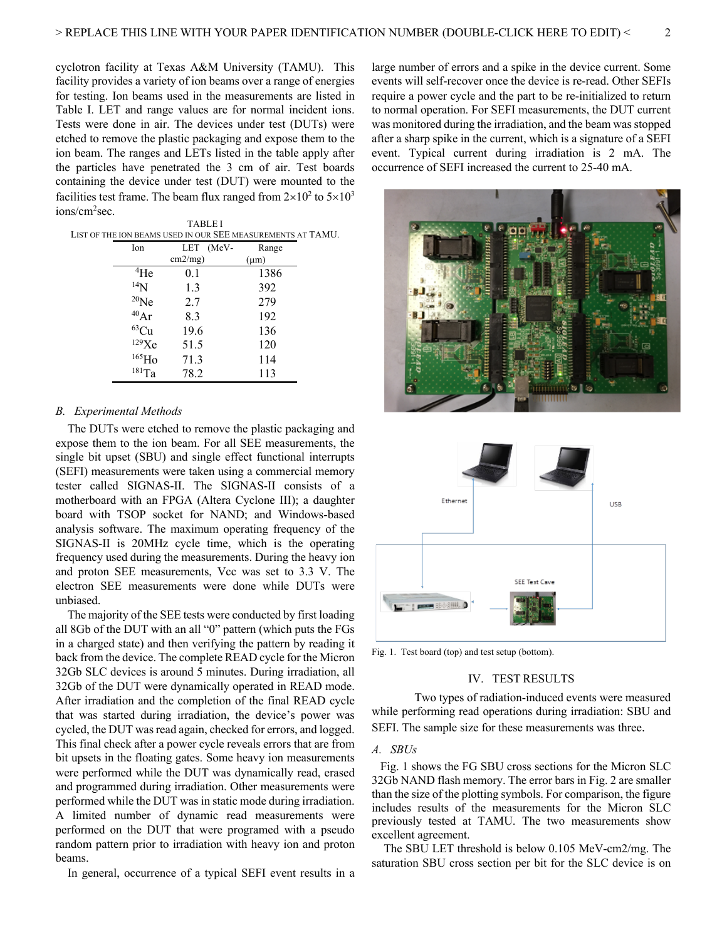cyclotron facility at Texas A&M University (TAMU). This facility provides a variety of ion beams over a range of energies for testing. Ion beams used in the measurements are listed in Table I. LET and range values are for normal incident ions. Tests were done in air. The devices under test (DUTs) were etched to remove the plastic packaging and expose them to the ion beam. The ranges and LETs listed in the table apply after the particles have penetrated the 3 cm of air. Test boards containing the device under test (DUT) were mounted to the facilities test frame. The beam flux ranged from  $2\times10^2$  to  $5\times10^3$ ions/cm2 sec.

| LIST OF THE ION BEAMS USED IN OUR SEE MEASUREMENTS AT TAMU. |  |  |  |  |  |  |  |
|-------------------------------------------------------------|--|--|--|--|--|--|--|
|                                                             |  |  |  |  |  |  |  |
|                                                             |  |  |  |  |  |  |  |
|                                                             |  |  |  |  |  |  |  |
|                                                             |  |  |  |  |  |  |  |
|                                                             |  |  |  |  |  |  |  |
|                                                             |  |  |  |  |  |  |  |
|                                                             |  |  |  |  |  |  |  |
|                                                             |  |  |  |  |  |  |  |
|                                                             |  |  |  |  |  |  |  |
|                                                             |  |  |  |  |  |  |  |
|                                                             |  |  |  |  |  |  |  |

## *B. Experimental Methods*

The DUTs were etched to remove the plastic packaging and expose them to the ion beam. For all SEE measurements, the single bit upset (SBU) and single effect functional interrupts (SEFI) measurements were taken using a commercial memory tester called SIGNAS-II. The SIGNAS-II consists of a motherboard with an FPGA (Altera Cyclone III); a daughter board with TSOP socket for NAND; and Windows-based analysis software. The maximum operating frequency of the SIGNAS-II is 20MHz cycle time, which is the operating frequency used during the measurements. During the heavy ion and proton SEE measurements, Vcc was set to 3.3 V. The electron SEE measurements were done while DUTs were unbiased.

The majority of the SEE tests were conducted by first loading all 8Gb of the DUT with an all "0" pattern (which puts the FGs in a charged state) and then verifying the pattern by reading it back from the device. The complete READ cycle for the Micron 32Gb SLC devices is around 5 minutes. During irradiation, all 32Gb of the DUT were dynamically operated in READ mode. After irradiation and the completion of the final READ cycle that was started during irradiation, the device's power was cycled, the DUT was read again, checked for errors, and logged. This final check after a power cycle reveals errors that are from bit upsets in the floating gates. Some heavy ion measurements were performed while the DUT was dynamically read, erased and programmed during irradiation. Other measurements were performed while the DUT was in static mode during irradiation. A limited number of dynamic read measurements were performed on the DUT that were programed with a pseudo random pattern prior to irradiation with heavy ion and proton beams.

In general, occurrence of a typical SEFI event results in a

large number of errors and a spike in the device current. Some events will self-recover once the device is re-read. Other SEFIs require a power cycle and the part to be re-initialized to return to normal operation. For SEFI measurements, the DUT current was monitored during the irradiation, and the beam was stopped after a sharp spike in the current, which is a signature of a SEFI event. Typical current during irradiation is 2 mA. The occurrence of SEFI increased the current to 25-40 mA.





Fig. 1. Test board (top) and test setup (bottom).

#### IV. TEST RESULTS

Two types of radiation-induced events were measured while performing read operations during irradiation: SBU and SEFI. The sample size for these measurements was three.

## *A. SBUs*

Fig. 1 shows the FG SBU cross sections for the Micron SLC 32Gb NAND flash memory. The error bars in Fig. 2 are smaller than the size of the plotting symbols. For comparison, the figure includes results of the measurements for the Micron SLC previously tested at TAMU. The two measurements show excellent agreement.

The SBU LET threshold is below 0.105 MeV-cm2/mg. The saturation SBU cross section per bit for the SLC device is on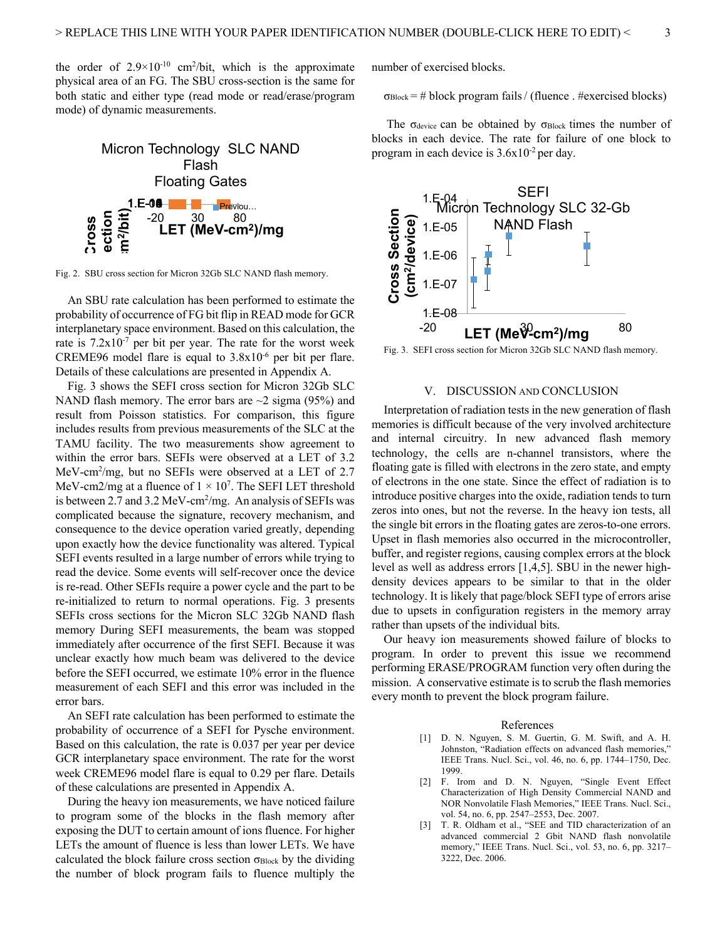the order of  $2.9 \times 10^{-10}$  cm<sup>2</sup>/bit, which is the approximate physical area of an FG. The SBU cross-section is the same for both static and either type (read mode or read/erase/program mode) of dynamic measurements.



Fig. 2. SBU cross section for Micron 32Gb SLC NAND flash memory.

An SBU rate calculation has been performed to estimate the probability of occurrence of FG bit flip in READ mode for GCR interplanetary space environment. Based on this calculation, the rate is  $7.2x10^{-7}$  per bit per year. The rate for the worst week CREME96 model flare is equal to 3.8x10-6 per bit per flare. Details of these calculations are presented in Appendix A.

Fig. 3 shows the SEFI cross section for Micron 32Gb SLC NAND flash memory. The error bars are  $\sim$ 2 sigma (95%) and result from Poisson statistics. For comparison, this figure includes results from previous measurements of the SLC at the TAMU facility. The two measurements show agreement to within the error bars. SEFIs were observed at a LET of 3.2 MeV-cm2 /mg, but no SEFIs were observed at a LET of 2.7 MeV-cm2/mg at a fluence of  $1 \times 10^7$ . The SEFI LET threshold is between 2.7 and  $3.2 \,\text{MeV-cm}^2/\text{mg}$ . An analysis of SEFIs was complicated because the signature, recovery mechanism, and consequence to the device operation varied greatly, depending upon exactly how the device functionality was altered. Typical SEFI events resulted in a large number of errors while trying to read the device. Some events will self-recover once the device is re-read. Other SEFIs require a power cycle and the part to be re-initialized to return to normal operations. Fig. 3 presents SEFIs cross sections for the Micron SLC 32Gb NAND flash memory During SEFI measurements, the beam was stopped immediately after occurrence of the first SEFI. Because it was unclear exactly how much beam was delivered to the device before the SEFI occurred, we estimate 10% error in the fluence measurement of each SEFI and this error was included in the error bars.

An SEFI rate calculation has been performed to estimate the probability of occurrence of a SEFI for Pysche environment. Based on this calculation, the rate is 0.037 per year per device GCR interplanetary space environment. The rate for the worst week CREME96 model flare is equal to 0.29 per flare. Details of these calculations are presented in Appendix A.

During the heavy ion measurements, we have noticed failure to program some of the blocks in the flash memory after exposing the DUT to certain amount of ions fluence. For higher LETs the amount of fluence is less than lower LETs. We have calculated the block failure cross section  $\sigma_{Block}$  by the dividing the number of block program fails to fluence multiply the

number of exercised blocks.

 $\sigma_{Block}$  = # block program fails / (fluence . #exercised blocks)

The  $\sigma_{\text{device}}$  can be obtained by  $\sigma_{\text{Block}}$  times the number of blocks in each device. The rate for failure of one block to program in each device is  $3.6x10^{-2}$  per day.



Fig. 3. SEFI cross section for Micron 32Gb SLC NAND flash memory.

#### V. DISCUSSION AND CONCLUSION

Interpretation of radiation tests in the new generation of flash memories is difficult because of the very involved architecture and internal circuitry. In new advanced flash memory technology, the cells are n-channel transistors, where the floating gate is filled with electrons in the zero state, and empty of electrons in the one state. Since the effect of radiation is to introduce positive charges into the oxide, radiation tends to turn zeros into ones, but not the reverse. In the heavy ion tests, all the single bit errors in the floating gates are zeros-to-one errors. Upset in flash memories also occurred in the microcontroller, buffer, and register regions, causing complex errors at the block level as well as address errors [1,4,5]. SBU in the newer highdensity devices appears to be similar to that in the older technology. It is likely that page/block SEFI type of errors arise due to upsets in configuration registers in the memory array rather than upsets of the individual bits.

Our heavy ion measurements showed failure of blocks to program. In order to prevent this issue we recommend performing ERASE/PROGRAM function very often during the mission. A conservative estimate is to scrub the flash memories every month to prevent the block program failure.

#### References

- [1] D. N. Nguyen, S. M. Guertin, G. M. Swift, and A. H. Johnston, "Radiation effects on advanced flash memories," IEEE Trans. Nucl. Sci., vol. 46, no. 6, pp. 1744–1750, Dec. 1999.
- [2] F. Irom and D. N. Nguyen, "Single Event Effect Characterization of High Density Commercial NAND and NOR Nonvolatile Flash Memories," IEEE Trans. Nucl. Sci., vol. 54, no. 6, pp. 2547–2553, Dec. 2007.
- [3] T. R. Oldham et al., "SEE and TID characterization of an advanced commercial 2 Gbit NAND flash nonvolatile memory," IEEE Trans. Nucl. Sci., vol. 53, no. 6, pp. 3217– 3222, Dec. 2006.